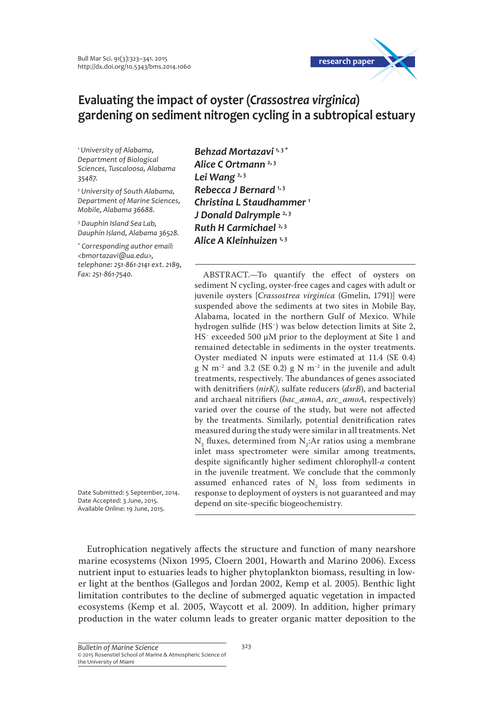

# **Evaluating the impact of oyster (***Crassostrea virginica***) gardening on sediment nitrogen cycling in a subtropical estuary**

*1 University of Alabama, Department of Biological Sciences, Tuscaloosa, Alabama 35487.*

*2 University of South Alabama, Department of Marine Sciences, Mobile, Alabama 36688.*

*3 Dauphin Island Sea Lab, Dauphin Island, Alabama 36528.*

*\* Corresponding author email: <bmortazavi@ua.edu>, telephone: 251-861-2141 ext. 2189, Fax: 251-861-7540.*

*Behzad Mortazavi* **1, <sup>3</sup> \*** *Alice C Ortmann* **2, <sup>3</sup>** *Lei Wang* **2, <sup>3</sup>** *Rebecca J Bernard* **1, <sup>3</sup>** *Christina L Staudhammer* **<sup>1</sup>** *J Donald Dalrymple* **2, <sup>3</sup>** *Ruth H Carmichael* **2, <sup>3</sup>** *Alice A Kleinhuizen* **1, <sup>3</sup>**

ABSTRACT.—To quantify the effect of oysters on sediment N cycling, oyster-free cages and cages with adult or juvenile oysters [*Crassostrea virginica* (Gmelin, 1791)] were suspended above the sediments at two sites in Mobile Bay, Alabama, located in the northern Gulf of Mexico. While hydrogen sulfide (HS− ) was below detection limits at Site 2, HS− exceeded 500 μM prior to the deployment at Site 1 and remained detectable in sediments in the oyster treatments. Oyster mediated N inputs were estimated at 11.4 (SE 0.4) g N m−2 and 3.2 (SE 0.2) g N m−2 in the juvenile and adult treatments, respectively. The abundances of genes associated with denitrifiers (*nirK)*, sulfate reducers (*dsrB*), and bacterial and archaeal nitrifiers (*bac\_amoA*, *arc\_amoA*, respectively) varied over the course of the study, but were not affected by the treatments. Similarly, potential denitrification rates measured during the study were similar in all treatments. Net  $\rm N\rm _2$  fluxes, determined from  $\rm N\rm _2$ :Ar ratios using a membrane inlet mass spectrometer were similar among treatments, despite significantly higher sediment chlorophyll-*a* content in the juvenile treatment. We conclude that the commonly assumed enhanced rates of  $N_2$  loss from sediments in response to deployment of oysters is not guaranteed and may depend on site-specific biogeochemistry.

Date Submitted: 5 September, 2014. Date Accepted: 3 June, 2015. Available Online: 19 June, 2015.

Eutrophication negatively affects the structure and function of many nearshore marine ecosystems (Nixon 1995, Cloern 2001, Howarth and Marino 2006). Excess nutrient input to estuaries leads to higher phytoplankton biomass, resulting in lower light at the benthos (Gallegos and Jordan 2002, Kemp et al. 2005). Benthic light limitation contributes to the decline of submerged aquatic vegetation in impacted ecosystems (Kemp et al. 2005, Waycott et al. 2009). In addition, higher primary production in the water column leads to greater organic matter deposition to the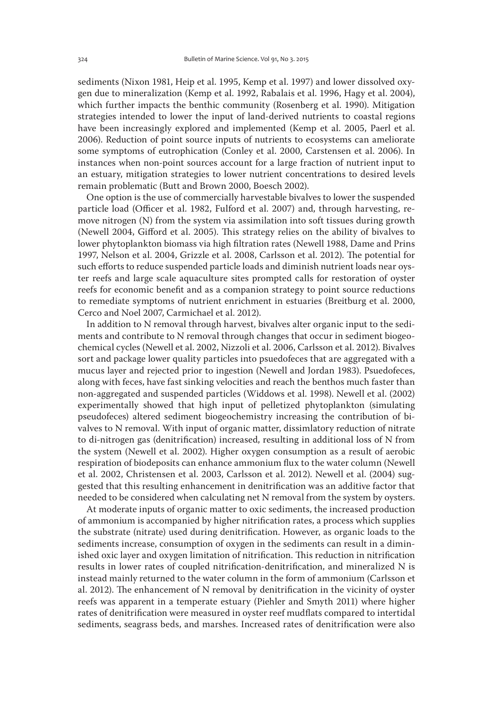sediments (Nixon 1981, Heip et al. 1995, Kemp et al. 1997) and lower dissolved oxygen due to mineralization (Kemp et al. 1992, Rabalais et al. 1996, Hagy et al. 2004), which further impacts the benthic community (Rosenberg et al. 1990). Mitigation strategies intended to lower the input of land-derived nutrients to coastal regions have been increasingly explored and implemented (Kemp et al. 2005, Paerl et al. 2006). Reduction of point source inputs of nutrients to ecosystems can ameliorate some symptoms of eutrophication (Conley et al. 2000, Carstensen et al. 2006). In instances when non-point sources account for a large fraction of nutrient input to an estuary, mitigation strategies to lower nutrient concentrations to desired levels remain problematic (Butt and Brown 2000, Boesch 2002).

One option is the use of commercially harvestable bivalves to lower the suspended particle load (Officer et al. 1982, Fulford et al. 2007) and, through harvesting, remove nitrogen (N) from the system via assimilation into soft tissues during growth (Newell 2004, Gifford et al. 2005). This strategy relies on the ability of bivalves to lower phytoplankton biomass via high filtration rates (Newell 1988, Dame and Prins 1997, Nelson et al. 2004, Grizzle et al. 2008, Carlsson et al. 2012). The potential for such efforts to reduce suspended particle loads and diminish nutrient loads near oyster reefs and large scale aquaculture sites prompted calls for restoration of oyster reefs for economic benefit and as a companion strategy to point source reductions to remediate symptoms of nutrient enrichment in estuaries (Breitburg et al. 2000, Cerco and Noel 2007, Carmichael et al. 2012).

In addition to N removal through harvest, bivalves alter organic input to the sediments and contribute to N removal through changes that occur in sediment biogeochemical cycles (Newell et al. 2002, Nizzoli et al. 2006, Carlsson et al. 2012). Bivalves sort and package lower quality particles into psuedofeces that are aggregated with a mucus layer and rejected prior to ingestion (Newell and Jordan 1983). Psuedofeces, along with feces, have fast sinking velocities and reach the benthos much faster than non-aggregated and suspended particles (Widdows et al. 1998). Newell et al. (2002) experimentally showed that high input of pelletized phytoplankton (simulating pseudofeces) altered sediment biogeochemistry increasing the contribution of bivalves to N removal. With input of organic matter, dissimlatory reduction of nitrate to di-nitrogen gas (denitrification) increased, resulting in additional loss of N from the system (Newell et al. 2002). Higher oxygen consumption as a result of aerobic respiration of biodeposits can enhance ammonium flux to the water column (Newell et al. 2002, Christensen et al. 2003, Carlsson et al. 2012). Newell et al. (2004) suggested that this resulting enhancement in denitrification was an additive factor that needed to be considered when calculating net N removal from the system by oysters.

At moderate inputs of organic matter to oxic sediments, the increased production of ammonium is accompanied by higher nitrification rates, a process which supplies the substrate (nitrate) used during denitrification. However, as organic loads to the sediments increase, consumption of oxygen in the sediments can result in a diminished oxic layer and oxygen limitation of nitrification. This reduction in nitrification results in lower rates of coupled nitrification-denitrification, and mineralized N is instead mainly returned to the water column in the form of ammonium (Carlsson et al. 2012). The enhancement of N removal by denitrification in the vicinity of oyster reefs was apparent in a temperate estuary (Piehler and Smyth 2011) where higher rates of denitrification were measured in oyster reef mudflats compared to intertidal sediments, seagrass beds, and marshes. Increased rates of denitrification were also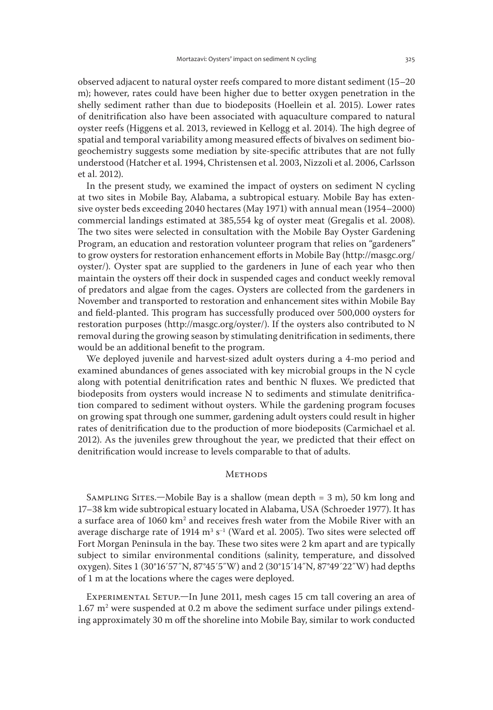observed adjacent to natural oyster reefs compared to more distant sediment (15–20 m); however, rates could have been higher due to better oxygen penetration in the shelly sediment rather than due to biodeposits (Hoellein et al. 2015). Lower rates of denitrification also have been associated with aquaculture compared to natural oyster reefs (Higgens et al. 2013, reviewed in Kellogg et al. 2014). The high degree of spatial and temporal variability among measured effects of bivalves on sediment biogeochemistry suggests some mediation by site-specific attributes that are not fully understood (Hatcher et al. 1994, Christensen et al. 2003, Nizzoli et al. 2006, Carlsson et al. 2012).

In the present study, we examined the impact of oysters on sediment N cycling at two sites in Mobile Bay, Alabama, a subtropical estuary. Mobile Bay has extensive oyster beds exceeding 2040 hectares (May 1971) with annual mean (1954–2000) commercial landings estimated at 385,554 kg of oyster meat (Gregalis et al. 2008). The two sites were selected in consultation with the Mobile Bay Oyster Gardening Program, an education and restoration volunteer program that relies on "gardeners" to grow oysters for restoration enhancement efforts in Mobile Bay (http://masgc.org/ oyster/). Oyster spat are supplied to the gardeners in June of each year who then maintain the oysters off their dock in suspended cages and conduct weekly removal of predators and algae from the cages. Oysters are collected from the gardeners in November and transported to restoration and enhancement sites within Mobile Bay and field-planted. This program has successfully produced over 500,000 oysters for restoration purposes (http://masgc.org/oyster/). If the oysters also contributed to N removal during the growing season by stimulating denitrification in sediments, there would be an additional benefit to the program.

We deployed juvenile and harvest-sized adult oysters during a 4-mo period and examined abundances of genes associated with key microbial groups in the N cycle along with potential denitrification rates and benthic N fluxes. We predicted that biodeposits from oysters would increase N to sediments and stimulate denitrification compared to sediment without oysters. While the gardening program focuses on growing spat through one summer, gardening adult oysters could result in higher rates of denitrification due to the production of more biodeposits (Carmichael et al. 2012). As the juveniles grew throughout the year, we predicted that their effect on denitrification would increase to levels comparable to that of adults.

## **METHODS**

SAMPLING SITES.—Mobile Bay is a shallow (mean depth  $= 3$  m), 50 km long and 17–38 km wide subtropical estuary located in Alabama, USA (Schroeder 1977). It has a surface area of 1060 km<sup>2</sup> and receives fresh water from the Mobile River with an average discharge rate of 1914 m $^3$  s $^{\text{-}1}$  (Ward et al. 2005). Two sites were selected off Fort Morgan Peninsula in the bay. These two sites were 2 km apart and are typically subject to similar environmental conditions (salinity, temperature, and dissolved oxygen). Sites 1 (30°16´57˝N, 87°45´5˝W) and 2 (30°15´14˝N, 87°49´22˝W) had depths of 1 m at the locations where the cages were deployed.

EXPERIMENTAL SETUP.—In June 2011, mesh cages 15 cm tall covering an area of  $1.67$  m<sup>2</sup> were suspended at 0.2 m above the sediment surface under pilings extending approximately 30 m off the shoreline into Mobile Bay, similar to work conducted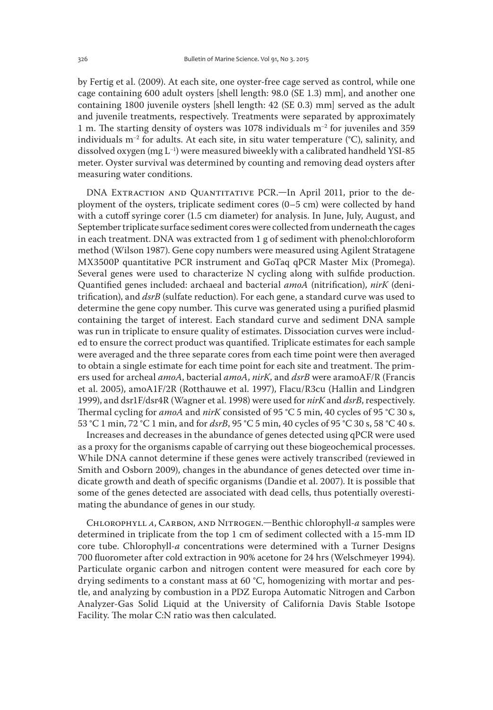by Fertig et al. (2009). At each site, one oyster-free cage served as control, while one cage containing 600 adult oysters [shell length: 98.0 (SE 1.3) mm], and another one containing 1800 juvenile oysters [shell length: 42 (SE 0.3) mm] served as the adult and juvenile treatments, respectively. Treatments were separated by approximately 1 m. The starting density of oysters was 1078 individuals m−2 for juveniles and 359 individuals m−2 for adults. At each site, in situ water temperature (°C), salinity, and dissolved oxygen (mg L−1) were measured biweekly with a calibrated handheld YSI-85 meter. Oyster survival was determined by counting and removing dead oysters after measuring water conditions.

DNA EXTRACTION AND QUANTITATIVE PCR.—In April 2011, prior to the deployment of the oysters, triplicate sediment cores (0–5 cm) were collected by hand with a cutoff syringe corer (1.5 cm diameter) for analysis. In June, July, August, and September triplicate surface sediment cores were collected from underneath the cages in each treatment. DNA was extracted from 1 g of sediment with phenol:chloroform method (Wilson 1987). Gene copy numbers were measured using Agilent Stratagene MX3500P quantitative PCR instrument and GoTaq qPCR Master Mix (Promega). Several genes were used to characterize N cycling along with sulfide production. Quantified genes included: archaeal and bacterial *amoA* (nitrification), *nirK* (denitrification), and *dsrB* (sulfate reduction). For each gene, a standard curve was used to determine the gene copy number. This curve was generated using a purified plasmid containing the target of interest. Each standard curve and sediment DNA sample was run in triplicate to ensure quality of estimates. Dissociation curves were included to ensure the correct product was quantified. Triplicate estimates for each sample were averaged and the three separate cores from each time point were then averaged to obtain a single estimate for each time point for each site and treatment. The primers used for archeal *amoA*, bacterial *amoA*, *nirK*, and *dsrB* were aramoAF/R (Francis et al. 2005), amoA1F/2R (Rotthauwe et al. 1997), Flacu/R3cu (Hallin and Lindgren 1999), and dsr1F/dsr4R (Wagner et al. 1998) were used for *nirK* and *dsrB*, respectively. Thermal cycling for *amoA* and *nirK* consisted of 95 °C 5 min, 40 cycles of 95 °C 30 s, 53 °C 1 min, 72 °C 1 min, and for *dsrB*, 95 °C 5 min, 40 cycles of 95 °C 30 s, 58 °C 40 s.

Increases and decreases in the abundance of genes detected using qPCR were used as a proxy for the organisms capable of carrying out these biogeochemical processes. While DNA cannot determine if these genes were actively transcribed (reviewed in Smith and Osborn 2009), changes in the abundance of genes detected over time indicate growth and death of specific organisms (Dandie et al. 2007). It is possible that some of the genes detected are associated with dead cells, thus potentially overestimating the abundance of genes in our study.

Chlorophyll *a*, Carbon, and Nitrogen.—Benthic chlorophyll-*a* samples were determined in triplicate from the top 1 cm of sediment collected with a 15-mm ID core tube. Chlorophyll-*a* concentrations were determined with a Turner Designs 700 fluorometer after cold extraction in 90% acetone for 24 hrs (Welschmeyer 1994). Particulate organic carbon and nitrogen content were measured for each core by drying sediments to a constant mass at 60 °C, homogenizing with mortar and pestle, and analyzing by combustion in a PDZ Europa Automatic Nitrogen and Carbon Analyzer-Gas Solid Liquid at the University of California Davis Stable Isotope Facility. The molar C:N ratio was then calculated.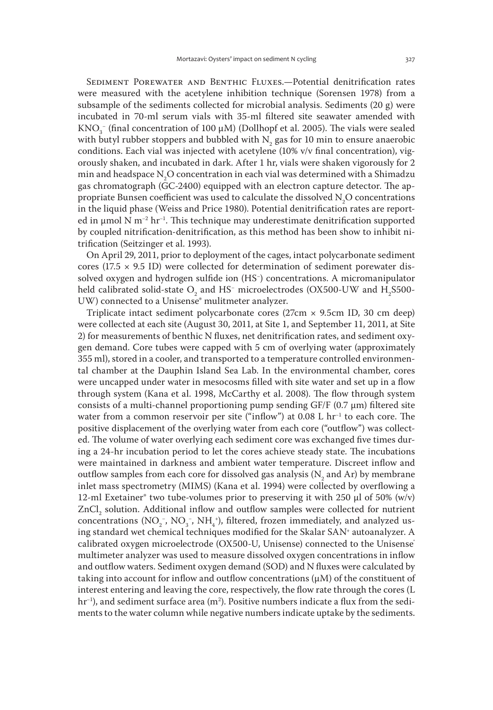Sediment Porewater and Benthic Fluxes.—Potential denitrification rates were measured with the acetylene inhibition technique (Sorensen 1978) from a subsample of the sediments collected for microbial analysis. Sediments (20 g) were incubated in 70-ml serum vials with 35-ml filtered site seawater amended with KNO<sub>3</sub> (final concentration of 100  $\mu$ M) (Dollhopf et al. 2005). The vials were sealed with butyl rubber stoppers and bubbled with  $N_{2}$  gas for 10 min to ensure anaerobic conditions. Each vial was injected with acetylene (10% v/v final concentration), vigorously shaken, and incubated in dark. After 1 hr, vials were shaken vigorously for 2 min and headspace  $\text{N}_2\text{O}$  concentration in each vial was determined with a Shimadzu gas chromatograph (GC-2400) equipped with an electron capture detector. The appropriate Bunsen coefficient was used to calculate the dissolved  $N_2O$  concentrations in the liquid phase (Weiss and Price 1980). Potential denitrification rates are reported in μmol N m−2 hr−1. This technique may underestimate denitrification supported by coupled nitrification-denitrification, as this method has been show to inhibit nitrification (Seitzinger et al. 1993).

On April 29, 2011, prior to deployment of the cages, intact polycarbonate sediment cores (17.5  $\times$  9.5 ID) were collected for determination of sediment porewater dissolved oxygen and hydrogen sulfide ion (HS− ) concentrations. A micromanipulator held calibrated solid-state  $\mathrm{O}_2$  and HS<sup>-</sup> microelectrodes (OX500-UW and H<sub>2</sub>S500-UW) connected to a Unisense<sup>®</sup> mulitmeter analyzer.

Triplicate intact sediment polycarbonate cores (27cm × 9.5cm ID, 30 cm deep) were collected at each site (August 30, 2011, at Site 1, and September 11, 2011, at Site 2) for measurements of benthic N fluxes, net denitrification rates, and sediment oxygen demand. Core tubes were capped with 5 cm of overlying water (approximately 355 ml), stored in a cooler, and transported to a temperature controlled environmental chamber at the Dauphin Island Sea Lab. In the environmental chamber, cores were uncapped under water in mesocosms filled with site water and set up in a flow through system (Kana et al. 1998, McCarthy et al. 2008). The flow through system consists of a multi-channel proportioning pump sending  $GF/F$  (0.7  $\mu$ m) filtered site water from a common reservoir per site ("inflow") at 0.08 L hr<sup>-1</sup> to each core. The positive displacement of the overlying water from each core ("outflow") was collected. The volume of water overlying each sediment core was exchanged five times during a 24-hr incubation period to let the cores achieve steady state. The incubations were maintained in darkness and ambient water temperature. Discreet inflow and outflow samples from each core for dissolved gas analysis ( $N<sub>2</sub>$  and Ar) by membrane inlet mass spectrometry (MIMS) (Kana et al. 1994) were collected by overflowing a 12-ml Exetainer® two tube-volumes prior to preserving it with 250 μl of 50% (w/v)  $ZnCl<sub>2</sub>$  solution. Additional inflow and outflow samples were collected for nutrient concentrations ( $NO_2^-$ ,  $NO_3^-$ ,  $NH_4^+$ ), filtered, frozen immediately, and analyzed using standard wet chemical techniques modified for the Skalar SAN+ autoanalyzer. A calibrated oxygen microelectrode (OX500-U, Unisense) connected to the Unisense<sup>®</sup> multimeter analyzer was used to measure dissolved oxygen concentrations in inflow and outflow waters. Sediment oxygen demand (SOD) and N fluxes were calculated by taking into account for inflow and outflow concentrations  $(\mu M)$  of the constituent of interest entering and leaving the core, respectively, the flow rate through the cores (L hr<sup>−1</sup>), and sediment surface area (m<sup>2</sup>). Positive numbers indicate a flux from the sediments to the water column while negative numbers indicate uptake by the sediments.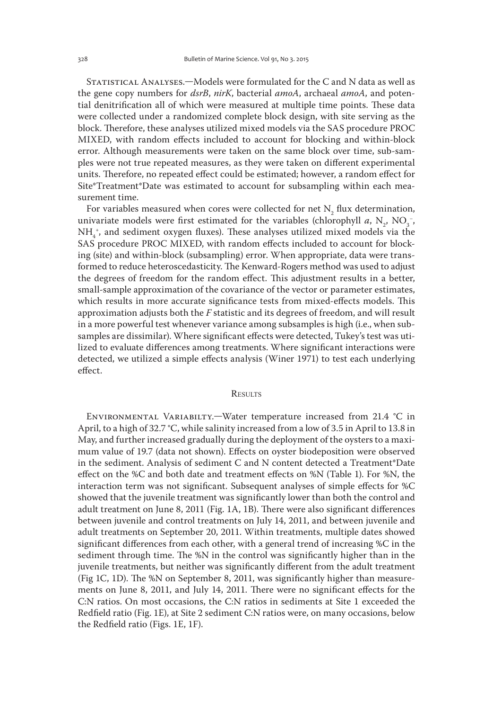Statistical Analyses.—Models were formulated for the C and N data as well as the gene copy numbers for *dsrB*, *nirK*, bacterial *amoA*, archaeal *amoA*, and potential denitrification all of which were measured at multiple time points. These data were collected under a randomized complete block design, with site serving as the block. Therefore, these analyses utilized mixed models via the SAS procedure PROC MIXED, with random effects included to account for blocking and within-block error. Although measurements were taken on the same block over time, sub-samples were not true repeated measures, as they were taken on different experimental units. Therefore, no repeated effect could be estimated; however, a random effect for Site\*Treatment\*Date was estimated to account for subsampling within each measurement time.

For variables measured when cores were collected for net  $N_2$  flux determination, univariate models were first estimated for the variables (chlorophyll *a*,  $N_2$ ,  $NO_3^-$ , NH4 + , and sediment oxygen fluxes). These analyses utilized mixed models via the SAS procedure PROC MIXED, with random effects included to account for blocking (site) and within-block (subsampling) error. When appropriate, data were transformed to reduce heteroscedasticity. The Kenward-Rogers method was used to adjust the degrees of freedom for the random effect. This adjustment results in a better, small-sample approximation of the covariance of the vector or parameter estimates, which results in more accurate significance tests from mixed-effects models. This approximation adjusts both the *F* statistic and its degrees of freedom, and will result in a more powerful test whenever variance among subsamples is high (i.e., when subsamples are dissimilar). Where significant effects were detected, Tukey's test was utilized to evaluate differences among treatments. Where significant interactions were detected, we utilized a simple effects analysis (Winer 1971) to test each underlying effect.

# **RESULTS**

Environmental Variabilty.—Water temperature increased from 21.4 °C in April, to a high of 32.7 °C, while salinity increased from a low of 3.5 in April to 13.8 in May, and further increased gradually during the deployment of the oysters to a maximum value of 19.7 (data not shown). Effects on oyster biodeposition were observed in the sediment. Analysis of sediment C and N content detected a Treatment\*Date effect on the %C and both date and treatment effects on %N (Table 1). For %N, the interaction term was not significant. Subsequent analyses of simple effects for %C showed that the juvenile treatment was significantly lower than both the control and adult treatment on June 8, 2011 (Fig. 1A, 1B). There were also significant differences between juvenile and control treatments on July 14, 2011, and between juvenile and adult treatments on September 20, 2011. Within treatments, multiple dates showed significant differences from each other, with a general trend of increasing %C in the sediment through time. The %N in the control was significantly higher than in the juvenile treatments, but neither was significantly different from the adult treatment (Fig 1C, 1D). The %N on September 8, 2011, was significantly higher than measurements on June 8, 2011, and July 14, 2011. There were no significant effects for the C:N ratios. On most occasions, the C:N ratios in sediments at Site 1 exceeded the Redfield ratio (Fig. 1E), at Site 2 sediment C:N ratios were, on many occasions, below the Redfield ratio (Figs. 1E, 1F).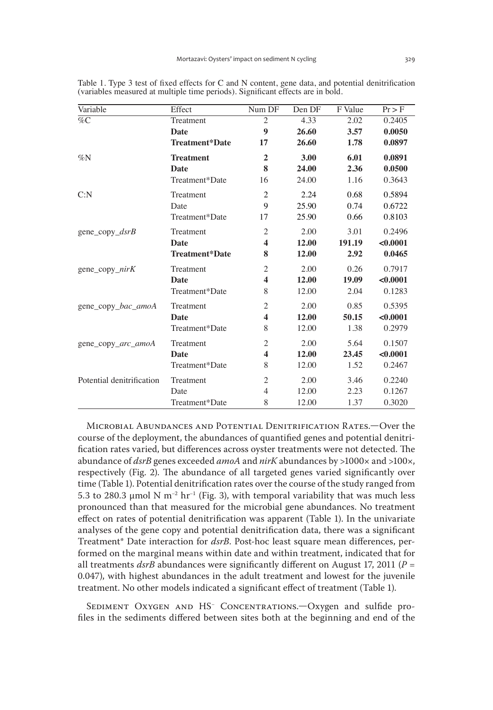| Variable                  | Effect                | Num DF                  | Den DF | F Value | $Pr$ > F |
|---------------------------|-----------------------|-------------------------|--------|---------|----------|
| $\%C$                     | Treatment             | $\overline{2}$          | 4.33   | 2.02    | 0.2405   |
|                           | Date                  | 9                       | 26.60  | 3.57    | 0.0050   |
|                           | Treatment*Date        | 17                      | 26.60  | 1.78    | 0.0897   |
| $\%N$                     | <b>Treatment</b>      | $\overline{2}$          | 3.00   | 6.01    | 0.0891   |
|                           | Date                  | 8                       | 24.00  | 2.36    | 0.0500   |
|                           | Treatment*Date        | 16                      | 24.00  | 1.16    | 0.3643   |
| C: N                      | Treatment             | $\overline{c}$          | 2.24   | 0.68    | 0.5894   |
|                           | Date                  | 9                       | 25.90  | 0.74    | 0.6722   |
|                           | Treatment*Date        | 17                      | 25.90  | 0.66    | 0.8103   |
| gene copy $dsrB$          | Treatment             | $\overline{2}$          | 2.00   | 3.01    | 0.2496   |
|                           | Date                  | $\overline{\mathbf{4}}$ | 12.00  | 191.19  | < 0.0001 |
|                           | <b>Treatment*Date</b> | 8                       | 12.00  | 2.92    | 0.0465   |
| gene_copy_nirK            | Treatment             | $\overline{2}$          | 2.00   | 0.26    | 0.7917   |
|                           | <b>Date</b>           | $\overline{\mathbf{4}}$ | 12.00  | 19.09   | < 0.0001 |
|                           | Treatment*Date        | 8                       | 12.00  | 2.04    | 0.1283   |
| gene_copy_bac_amoA        | Treatment             | $\overline{2}$          | 2.00   | 0.85    | 0.5395   |
|                           | Date                  | $\overline{\mathbf{4}}$ | 12.00  | 50.15   | < 0.0001 |
|                           | Treatment*Date        | 8                       | 12.00  | 1.38    | 0.2979   |
| gene copy arc amoA        | Treatment             | $\overline{2}$          | 2.00   | 5.64    | 0.1507   |
|                           | Date                  | $\overline{\mathbf{4}}$ | 12.00  | 23.45   | < 0.0001 |
|                           | Treatment*Date        | 8                       | 12.00  | 1.52    | 0.2467   |
| Potential denitrification | Treatment             | $\mathfrak{2}$          | 2.00   | 3.46    | 0.2240   |
|                           | Date                  | $\overline{4}$          | 12.00  | 2.23    | 0.1267   |
|                           | Treatment*Date        | 8                       | 12.00  | 1.37    | 0.3020   |

Table 1. Type 3 test of fixed effects for C and N content, gene data, and potential denitrification (variables measured at multiple time periods). Significant effects are in bold.

Microbial Abundances and Potential Denitrification Rates.—Over the course of the deployment, the abundances of quantified genes and potential denitrification rates varied, but differences across oyster treatments were not detected. The abundance of *dsrB* genes exceeded *amoA* and *nirK* abundances by >1000× and >100×, respectively (Fig. 2). The abundance of all targeted genes varied significantly over time (Table 1). Potential denitrification rates over the course of the study ranged from 5.3 to 280.3 µmol N m<sup>-2</sup> hr<sup>-1</sup> (Fig. 3), with temporal variability that was much less pronounced than that measured for the microbial gene abundances. No treatment effect on rates of potential denitrification was apparent (Table 1). In the univariate analyses of the gene copy and potential denitrification data, there was a significant Treatment\* Date interaction for *dsrB*. Post-hoc least square mean differences, performed on the marginal means within date and within treatment, indicated that for all treatments  $dsrB$  abundances were significantly different on August 17, 2011 ( $P =$ 0.047), with highest abundances in the adult treatment and lowest for the juvenile treatment. No other models indicated a significant effect of treatment (Table 1).

Sediment Oxygen and HS− Concentrations.—Oxygen and sulfide profiles in the sediments differed between sites both at the beginning and end of the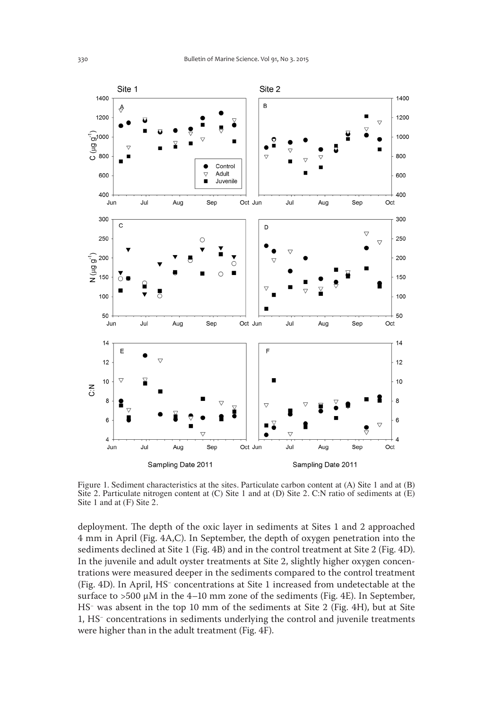

Figure 1. Sediment characteristics at the sites. Particulate carbon content at (A) Site 1 and at (B) Site 2. Particulate nitrogen content at (C) Site 1 and at (D) Site 2. C:N ratio of sediments at (E) Site 1 and at (F) Site 2.

deployment. The depth of the oxic layer in sediments at Sites 1 and 2 approached 4 mm in April (Fig. 4A,C). In September, the depth of oxygen penetration into the sediments declined at Site 1 (Fig. 4B) and in the control treatment at Site 2 (Fig. 4D). In the juvenile and adult oyster treatments at Site 2, slightly higher oxygen concentrations were measured deeper in the sediments compared to the control treatment (Fig. 4D). In April, HS− concentrations at Site 1 increased from undetectable at the surface to  $>500 \mu M$  in the 4–10 mm zone of the sediments (Fig. 4E). In September, HS− was absent in the top 10 mm of the sediments at Site 2 (Fig. 4H), but at Site 1, HS− concentrations in sediments underlying the control and juvenile treatments were higher than in the adult treatment (Fig. 4F).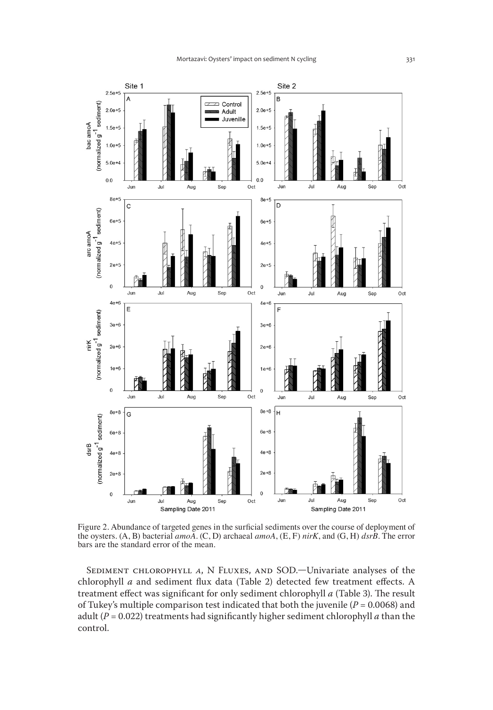

Figure 2. Abundance of targeted genes in the surficial sediments over the course of deployment of the oysters. (A, B) bacterial *amoA*. (C, D) archaeal *amoA*, (E, F) *nirK*, and (G, H) *dsrB*. The error bars are the standard error of the mean.

Sediment chlorophyll *a*, N Fluxes, and SOD.—Univariate analyses of the chlorophyll *a* and sediment flux data (Table 2) detected few treatment effects. A treatment effect was significant for only sediment chlorophyll *a* (Table 3). The result of Tukey's multiple comparison test indicated that both the juvenile ( $P = 0.0068$ ) and adult (*P* = 0.022) treatments had significantly higher sediment chlorophyll *a* than the control.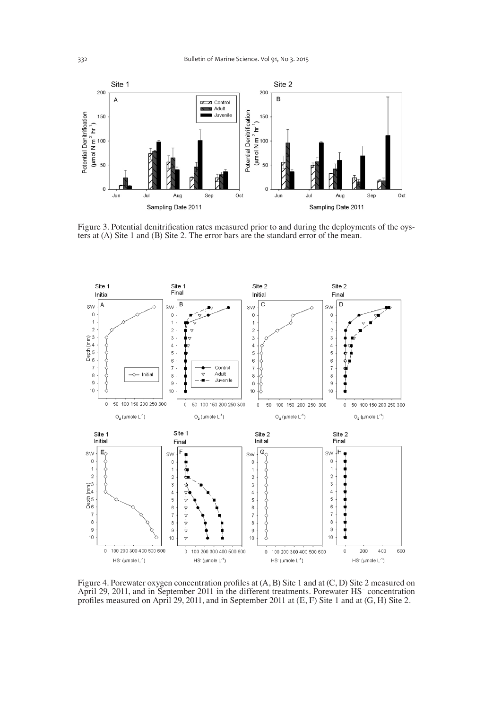

Figure 3. Potential denitrification rates measured prior to and during the deployments of the oysters at (A) Site 1 and (B) Site 2. The error bars are the standard error of the mean.



Figure 4. Porewater oxygen concentration profiles at (A, B) Site 1 and at (C, D) Site 2 measured on April 29, 2011, and in September 2011 in the different treatments. Porewater HS− concentration profiles measured on April 29, 2011, and in September 2011 at (E, F) Site 1 and at (G, H) Site 2.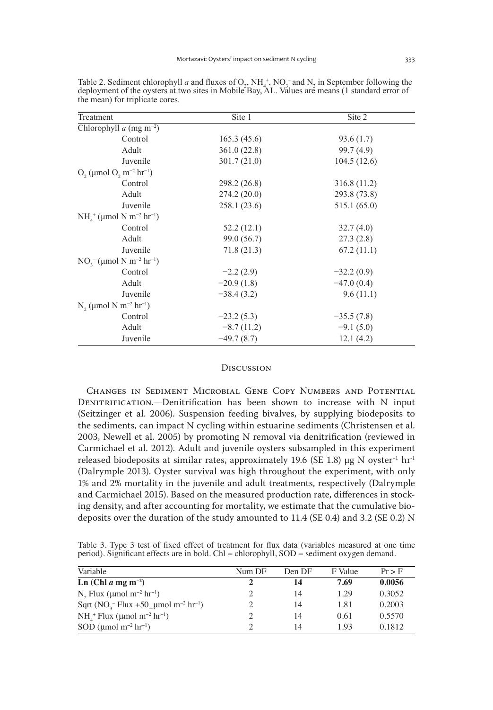| Treatment                                                 | Site 1       | Site 2       |
|-----------------------------------------------------------|--------------|--------------|
| Chlorophyll $a$ (mg m <sup>-2</sup> )                     |              |              |
| Control                                                   | 165.3(45.6)  | 93.6(1.7)    |
| Adult                                                     | 361.0(22.8)  | 99.7 (4.9)   |
| Juvenile                                                  | 301.7(21.0)  | 104.5(12.6)  |
| $O_2$ (µmol $O_2$ m <sup>-2</sup> hr <sup>-1</sup> )      |              |              |
| Control                                                   | 298.2 (26.8) | 316.8 (11.2) |
| Adult                                                     | 274.2(20.0)  | 293.8 (73.8) |
| Juvenile                                                  | 258.1(23.6)  | 515.1(65.0)  |
| $NH4+$ (µmol N m <sup>-2</sup> hr <sup>-1</sup> )         |              |              |
| Control                                                   | 52.2(12.1)   | 32.7(4.0)    |
| Adult                                                     | 99.0 (56.7)  | 27.3(2.8)    |
| Juvenile                                                  | 71.8(21.3)   | 67.2(11.1)   |
| $NO2-$ (µmol N m <sup>-2</sup> hr <sup>-1</sup> )         |              |              |
| Control                                                   | $-2.2(2.9)$  | $-32.2(0.9)$ |
| Adult                                                     | $-20.9(1.8)$ | $-47.0(0.4)$ |
| Juvenile                                                  | $-38.4(3.2)$ | 9.6(11.1)    |
| N <sub>2</sub> (µmol N m <sup>-2</sup> hr <sup>-1</sup> ) |              |              |
| Control                                                   | $-23.2(5.3)$ | $-35.5(7.8)$ |
| Adult                                                     | $-8.7(11.2)$ | $-9.1(5.0)$  |
| Juvenile                                                  | $-49.7(8.7)$ | 12.1(4.2)    |

Table 2. Sediment chlorophyll *a* and fluxes of  $O_2$ ,  $NH_4^+$ ,  $NO_3^-$  and  $N_2$  in September following the deployment of the oysters at two sites in Mobile Bay, AL. Values are means (1 standard error of the mean) for triplicate cores.

#### **Discussion**

Changes in Sediment Microbial Gene Copy Numbers and Potential Denitrification.—Denitrification has been shown to increase with N input (Seitzinger et al. 2006). Suspension feeding bivalves, by supplying biodeposits to the sediments, can impact N cycling within estuarine sediments (Christensen et al. 2003, Newell et al. 2005) by promoting N removal via denitrification (reviewed in Carmichael et al. 2012). Adult and juvenile oysters subsampled in this experiment released biodeposits at similar rates, approximately 19.6 (SE 1.8) μg N oyster<sup>-1</sup> hr<sup>-1</sup> (Dalrymple 2013). Oyster survival was high throughout the experiment, with only 1% and 2% mortality in the juvenile and adult treatments, respectively (Dalrymple and Carmichael 2015). Based on the measured production rate, differences in stocking density, and after accounting for mortality, we estimate that the cumulative biodeposits over the duration of the study amounted to 11.4 (SE 0.4) and 3.2 (SE 0.2) N

Table 3. Type 3 test of fixed effect of treatment for flux data (variables measured at one time period). Significant effects are in bold. Chl = chlorophyll, SOD = sediment oxygen demand.

| Variable                                                               | Num DF | Den DF | F Value | $Pr$ > F |
|------------------------------------------------------------------------|--------|--------|---------|----------|
| Ln (Chl $a$ mg m <sup>-2</sup> )                                       |        | 14     | 7.69    | 0.0056   |
| $N_2$ Flux (µmol m <sup>-2</sup> hr <sup>-1</sup> )                    |        | 14     | 1.29    | 0.3052   |
| Sqrt (NO <sub>3</sub> Flux +50_µmol m <sup>-2</sup> hr <sup>-1</sup> ) |        | 14     | 1.81    | 0.2003   |
| $NH4+ Flux (µmol m-2 hr-1)$                                            |        | 14     | 0.61    | 0.5570   |
| SOD (µmol m <sup>-2</sup> hr <sup>-1</sup> )                           |        | 14     | 193     | 0.1812   |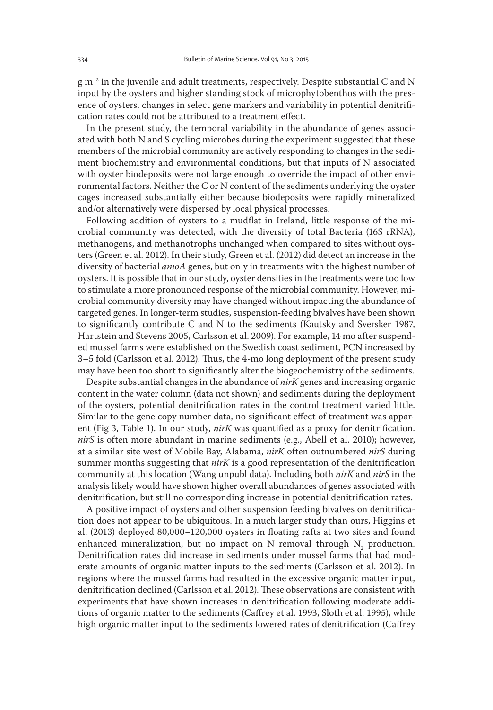g m−2 in the juvenile and adult treatments, respectively. Despite substantial C and N input by the oysters and higher standing stock of microphytobenthos with the presence of oysters, changes in select gene markers and variability in potential denitrification rates could not be attributed to a treatment effect.

In the present study, the temporal variability in the abundance of genes associated with both N and S cycling microbes during the experiment suggested that these members of the microbial community are actively responding to changes in the sediment biochemistry and environmental conditions, but that inputs of N associated with oyster biodeposits were not large enough to override the impact of other environmental factors. Neither the C or N content of the sediments underlying the oyster cages increased substantially either because biodeposits were rapidly mineralized and/or alternatively were dispersed by local physical processes.

Following addition of oysters to a mudflat in Ireland, little response of the microbial community was detected, with the diversity of total Bacteria (16S rRNA), methanogens, and methanotrophs unchanged when compared to sites without oysters (Green et al. 2012). In their study, Green et al. (2012) did detect an increase in the diversity of bacterial *amoA* genes, but only in treatments with the highest number of oysters. It is possible that in our study, oyster densities in the treatments were too low to stimulate a more pronounced response of the microbial community. However, microbial community diversity may have changed without impacting the abundance of targeted genes. In longer-term studies, suspension-feeding bivalves have been shown to significantly contribute C and N to the sediments (Kautsky and Sversker 1987, Hartstein and Stevens 2005, Carlsson et al. 2009). For example, 14 mo after suspended mussel farms were established on the Swedish coast sediment, PCN increased by 3–5 fold (Carlsson et al. 2012). Thus, the 4-mo long deployment of the present study may have been too short to significantly alter the biogeochemistry of the sediments.

Despite substantial changes in the abundance of *nirK* genes and increasing organic content in the water column (data not shown) and sediments during the deployment of the oysters, potential denitrification rates in the control treatment varied little. Similar to the gene copy number data, no significant effect of treatment was apparent (Fig 3, Table 1). In our study, *nirK* was quantified as a proxy for denitrification. *nirS* is often more abundant in marine sediments (e.g., Abell et al. 2010); however, at a similar site west of Mobile Bay, Alabama, *nirK* often outnumbered *nirS* during summer months suggesting that *nirK* is a good representation of the denitrification community at this location (Wang unpubl data). Including both *nirK* and *nirS* in the analysis likely would have shown higher overall abundances of genes associated with denitrification, but still no corresponding increase in potential denitrification rates.

A positive impact of oysters and other suspension feeding bivalves on denitrification does not appear to be ubiquitous. In a much larger study than ours, Higgins et al. (2013) deployed 80,000–120,000 oysters in floating rafts at two sites and found enhanced mineralization, but no impact on N removal through  $N_2$  production. Denitrification rates did increase in sediments under mussel farms that had moderate amounts of organic matter inputs to the sediments (Carlsson et al. 2012). In regions where the mussel farms had resulted in the excessive organic matter input, denitrification declined (Carlsson et al. 2012). These observations are consistent with experiments that have shown increases in denitrification following moderate additions of organic matter to the sediments (Caffrey et al. 1993, Sloth et al. 1995), while high organic matter input to the sediments lowered rates of denitrification (Caffrey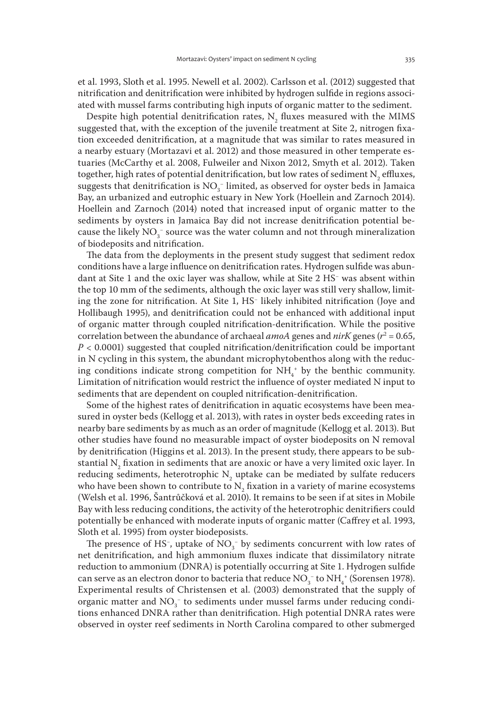et al. 1993, Sloth et al. 1995. Newell et al. 2002). Carlsson et al. (2012) suggested that nitrification and denitrification were inhibited by hydrogen sulfide in regions associated with mussel farms contributing high inputs of organic matter to the sediment.

Despite high potential denitrification rates,  $N_{2}$  fluxes measured with the MIMS suggested that, with the exception of the juvenile treatment at Site 2, nitrogen fixation exceeded denitrification, at a magnitude that was similar to rates measured in a nearby estuary (Mortazavi et al. 2012) and those measured in other temperate estuaries (McCarthy et al. 2008, Fulweiler and Nixon 2012, Smyth et al. 2012). Taken together, high rates of potential denitrification, but low rates of sediment  $N_2$  effluxes, suggests that denitrification is  $NO<sub>3</sub><sup>-</sup>$  limited, as observed for oyster beds in Jamaica Bay, an urbanized and eutrophic estuary in New York (Hoellein and Zarnoch 2014). Hoellein and Zarnoch (2014) noted that increased input of organic matter to the sediments by oysters in Jamaica Bay did not increase denitrification potential because the likely NO<sub>3</sub><sup>−</sup> source was the water column and not through mineralization of biodeposits and nitrification.

The data from the deployments in the present study suggest that sediment redox conditions have a large influence on denitrification rates. Hydrogen sulfide was abundant at Site 1 and the oxic layer was shallow, while at Site 2 HS− was absent within the top 10 mm of the sediments, although the oxic layer was still very shallow, limiting the zone for nitrification. At Site 1, HS− likely inhibited nitrification (Joye and Hollibaugh 1995), and denitrification could not be enhanced with additional input of organic matter through coupled nitrification-denitrification. While the positive correlation between the abundance of archaeal *amoA* genes and *nirK* genes (*r*<sup>2</sup> = 0.65, *P* < 0.0001) suggested that coupled nitrification/denitrification could be important in N cycling in this system, the abundant microphytobenthos along with the reducing conditions indicate strong competition for  $NH_4$ <sup>+</sup> by the benthic community. Limitation of nitrification would restrict the influence of oyster mediated N input to sediments that are dependent on coupled nitrification-denitrification.

Some of the highest rates of denitrification in aquatic ecosystems have been measured in oyster beds (Kellogg et al. 2013), with rates in oyster beds exceeding rates in nearby bare sediments by as much as an order of magnitude (Kellogg et al. 2013). But other studies have found no measurable impact of oyster biodeposits on N removal by denitrification (Higgins et al. 2013). In the present study, there appears to be substantial  $\mathrm{N}_\mathrm{2}$  fixation in sediments that are anoxic or have a very limited oxic layer. In reducing sediments, heterotrophic  $N_z$  uptake can be mediated by sulfate reducers who have been shown to contribute to  $N_2$  fixation in a variety of marine ecosystems (Welsh et al. 1996, Šantrůčková et al. 2010). It remains to be seen if at sites in Mobile Bay with less reducing conditions, the activity of the heterotrophic denitrifiers could potentially be enhanced with moderate inputs of organic matter (Caffrey et al. 1993, Sloth et al. 1995) from oyster biodeposists.

The presence of HS<sup>-</sup>, uptake of  $NO<sub>3</sub><sup>-</sup>$  by sediments concurrent with low rates of net denitrification, and high ammonium fluxes indicate that dissimilatory nitrate reduction to ammonium (DNRA) is potentially occurring at Site 1. Hydrogen sulfide can serve as an electron donor to bacteria that reduce  $NO<sub>3</sub><sup>-</sup>$  to  $NH<sub>4</sub><sup>+</sup>$  (Sorensen 1978). Experimental results of Christensen et al. (2003) demonstrated that the supply of organic matter and  $NO_3^-$  to sediments under mussel farms under reducing conditions enhanced DNRA rather than denitrification. High potential DNRA rates were observed in oyster reef sediments in North Carolina compared to other submerged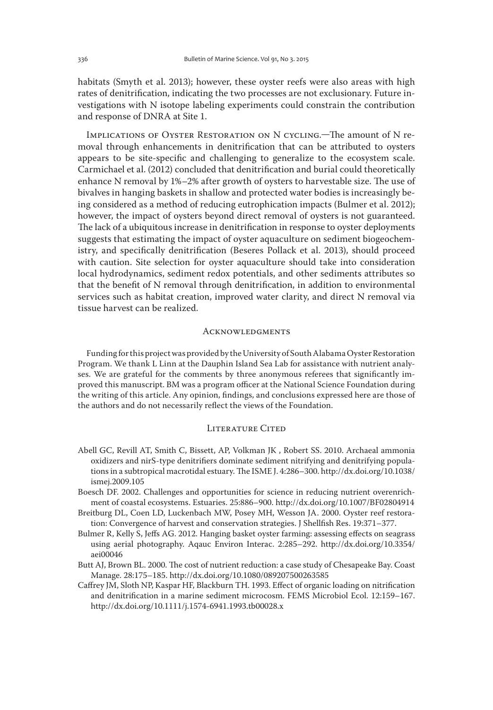habitats (Smyth et al. 2013); however, these oyster reefs were also areas with high rates of denitrification, indicating the two processes are not exclusionary. Future investigations with N isotope labeling experiments could constrain the contribution and response of DNRA at Site 1.

Implications of Oyster Restoration on N cycling.—The amount of N removal through enhancements in denitrification that can be attributed to oysters appears to be site-specific and challenging to generalize to the ecosystem scale. Carmichael et al. (2012) concluded that denitrification and burial could theoretically enhance N removal by 1%–2% after growth of oysters to harvestable size. The use of bivalves in hanging baskets in shallow and protected water bodies is increasingly being considered as a method of reducing eutrophication impacts (Bulmer et al. 2012); however, the impact of oysters beyond direct removal of oysters is not guaranteed. The lack of a ubiquitous increase in denitrification in response to oyster deployments suggests that estimating the impact of oyster aquaculture on sediment biogeochemistry, and specifically denitrification (Beseres Pollack et al. 2013), should proceed with caution. Site selection for oyster aquaculture should take into consideration local hydrodynamics, sediment redox potentials, and other sediments attributes so that the benefit of N removal through denitrification, in addition to environmental services such as habitat creation, improved water clarity, and direct N removal via tissue harvest can be realized.

#### **ACKNOWLEDGMENTS**

Funding for this project was provided by the University of South Alabama Oyster Restoration Program. We thank L Linn at the Dauphin Island Sea Lab for assistance with nutrient analyses. We are grateful for the comments by three anonymous referees that significantly improved this manuscript. BM was a program officer at the National Science Foundation during the writing of this article. Any opinion, findings, and conclusions expressed here are those of the authors and do not necessarily reflect the views of the Foundation.

## LITERATURE CITED

- Abell GC, Revill AT, Smith C, Bissett, AP, Volkman JK , Robert SS. 2010. Archaeal ammonia oxidizers and nirS-type denitrifiers dominate sediment nitrifying and denitrifying populations in a subtropical macrotidal estuary. The ISME J. 4:286–300. http://dx.doi.org/10.1038/ ismej.2009.105
- Boesch DF. 2002. Challenges and opportunities for science in reducing nutrient overenrichment of coastal ecosystems. Estuaries. 25:886–900. http://dx.doi.org/10.1007/BF02804914
- Breitburg DL, Coen LD, Luckenbach MW, Posey MH, Wesson JA. 2000. Oyster reef restoration: Convergence of harvest and conservation strategies. J Shellfish Res. 19:371–377.
- Bulmer R, Kelly S, Jeffs AG. 2012. Hanging basket oyster farming: assessing effects on seagrass using aerial photography. Aqauc Environ Interac. 2:285–292. http://dx.doi.org/10.3354/ aei00046
- Butt AJ, Brown BL. 2000. The cost of nutrient reduction: a case study of Chesapeake Bay. Coast Manage. 28:175–185. http://dx.doi.org/10.1080/089207500263585
- Caffrey JM, Sloth NP, Kaspar HF, Blackburn TH. 1993. Effect of organic loading on nitrification and denitrification in a marine sediment microcosm. FEMS Microbiol Ecol. 12:159–167. http://dx.doi.org/10.1111/j.1574-6941.1993.tb00028.x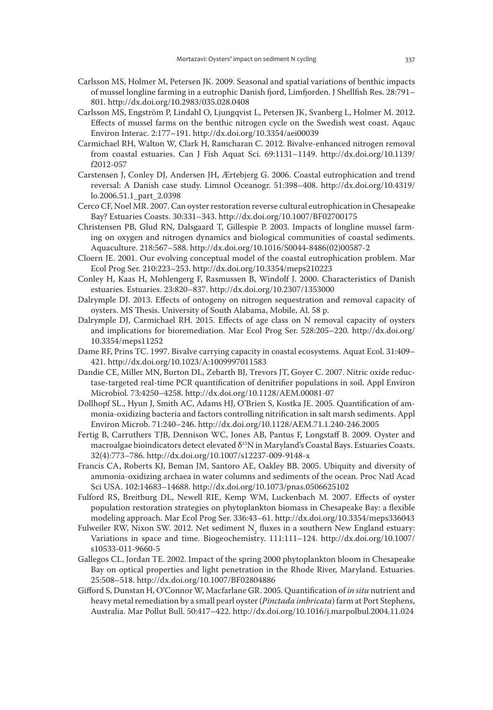- Carlsson MS, Holmer M, Petersen JK. 2009. Seasonal and spatial variations of benthic impacts of mussel longline farming in a eutrophic Danish fjord, Limfjorden. J Shellfish Res. 28:791– 801. http://dx.doi.org/10.2983/035.028.0408
- Carlsson MS, Engström P, Lindahl O, Ljungqvist L, Petersen JK, Svanberg L, Holmer M. 2012. Effects of mussel farms on the benthic nitrogen cycle on the Swedish west coast. Aqauc Environ Interac. 2:177–191. http://dx.doi.org/10.3354/aei00039
- Carmichael RH, Walton W, Clark H, Ramcharan C. 2012. Bivalve-enhanced nitrogen removal from coastal estuaries. Can J Fish Aquat Sci. 69:1131–1149. http://dx.doi.org/10.1139/ f2012-057
- Carstensen J, Conley DJ, Andersen JH, Ærtebjerg G. 2006. Coastal eutrophication and trend reversal: A Danish case study. Limnol Oceanogr. 51:398–408. http://dx.doi.org/10.4319/ lo.2006.51.1\_part\_2.0398
- Cerco CF, Noel MR. 2007. Can oyster restoration reverse cultural eutrophication in Chesapeake Bay? Estuaries Coasts. 30:331–343. http://dx.doi.org/10.1007/BF02700175
- Christensen PB, Glud RN, Dalsgaard T, Gillespie P. 2003. Impacts of longline mussel farming on oxygen and nitrogen dynamics and biological communities of coastal sediments. Aquaculture. 218:567–588. http://dx.doi.org/10.1016/S0044-8486(02)00587-2
- Cloern JE. 2001. Our evolving conceptual model of the coastal eutrophication problem. Mar Ecol Prog Ser. 210:223–253. http://dx.doi.org/10.3354/meps210223
- Conley H, Kaas H, Mohlengerg F, Rasmussen B, Windolf J. 2000. Characteristics of Danish estuaries. Estuaries. 23:820–837. http://dx.doi.org/10.2307/1353000
- Dalrymple DJ. 2013. Effects of ontogeny on nitrogen sequestration and removal capacity of oysters. MS Thesis. University of South Alabama, Mobile, Al. 58 p.
- Dalrymple DJ, Carmichael RH. 2015. Effects of age class on N removal capacity of oysters and implications for bioremediation. Mar Ecol Prog Ser. 528:205–220. http://dx.doi.org/ 10.3354/meps11252
- Dame RF, Prins TC. 1997. Bivalve carrying capacity in coastal ecosystems. Aquat Ecol. 31:409– 421. http://dx.doi.org/10.1023/A:1009997011583
- Dandie CE, Miller MN, Burton DL, Zebarth BJ, Trevors JT, Goyer C. 2007. Nitric oxide reductase-targeted real-time PCR quantification of denitrifier populations in soil. Appl Environ Microbiol. 73:4250–4258. http://dx.doi.org/10.1128/AEM.00081-07
- Dollhopf SL., Hyun J, Smith AC, Adams HJ, O'Brien S, Kostka JE. 2005. Quantification of ammonia-oxidizing bacteria and factors controlling nitrification in salt marsh sediments. Appl Environ Microb. 71:240–246. http://dx.doi.org/10.1128/AEM.71.1.240-246.2005
- Fertig B, Carruthers TJB, Dennison WC, Jones AB, Pantus F, Longstaff B. 2009. Oyster and macroalgae bioindicators detect elevated δ<sup>15</sup>N in Maryland's Coastal Bays. Estuaries Coasts. 32(4):773–786. http://dx.doi.org/10.1007/s12237-009-9148-x
- Francis CA, Roberts KJ, Beman JM, Santoro AE, Oakley BB. 2005. Ubiquity and diversity of ammonia-oxidizing archaea in water columns and sediments of the ocean. Proc Natl Acad Sci USA. 102:14683–14688. http://dx.doi.org/10.1073/pnas.0506625102
- Fulford RS, Breitburg DL, Newell RIE, Kemp WM, Luckenbach M. 2007. Effects of oyster population restoration strategies on phytoplankton biomass in Chesapeake Bay: a flexible modeling approach. Mar Ecol Prog Ser. 336:43–61. http://dx.doi.org/10.3354/meps336043
- Fulweiler RW, Nixon SW. 2012. Net sediment  $N_z$  fluxes in a southern New England estuary: Variations in space and time. Biogeochemistry. 111:111–124. http://dx.doi.org/10.1007/ s10533-011-9660-5
- Gallegos CL, Jordan TE. 2002. Impact of the spring 2000 phytoplankton bloom in Chesapeake Bay on optical properties and light penetration in the Rhode River, Maryland. Estuaries. 25:508–518. http://dx.doi.org/10.1007/BF02804886
- Gifford S, Dunstan H, O'Connor W, Macfarlane GR. 2005. Quantification of *in situ* nutrient and heavy metal remediation by a small pearl oyster (*Pinctada imbricata*) farm at Port Stephens, Australia. Mar Pollut Bull. 50:417–422. http://dx.doi.org/10.1016/j.marpolbul.2004.11.024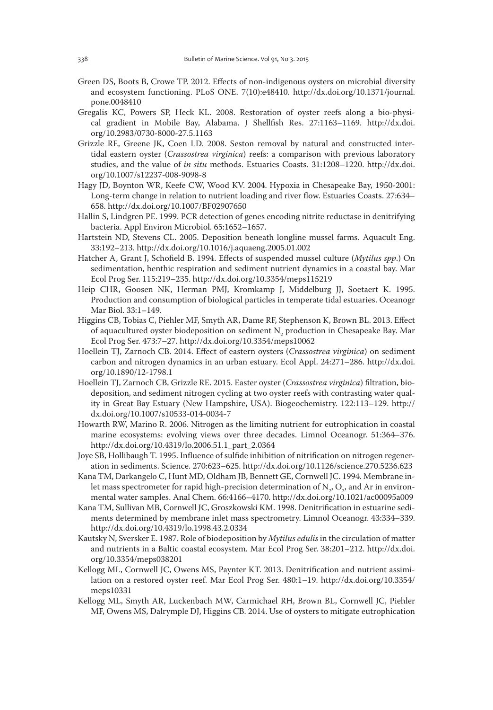- Green DS, Boots B, Crowe TP. 2012. Effects of non-indigenous oysters on microbial diversity and ecosystem functioning. PLoS ONE. 7(10):e48410. http://dx.doi.org/10.1371/journal. pone.0048410
- Gregalis KC, Powers SP, Heck KL. 2008. Restoration of oyster reefs along a bio-physical gradient in Mobile Bay, Alabama. J Shellfish Res. 27:1163–1169. http://dx.doi. org/10.2983/0730-8000-27.5.1163
- Grizzle RE, Greene JK, Coen LD. 2008. Seston removal by natural and constructed intertidal eastern oyster (*Crassostrea virginica*) reefs: a comparison with previous laboratory studies, and the value of *in situ* methods. Estuaries Coasts. 31:1208–1220. http://dx.doi. org/10.1007/s12237-008-9098-8
- Hagy JD, Boynton WR, Keefe CW, Wood KV. 2004. Hypoxia in Chesapeake Bay, 1950-2001: Long-term change in relation to nutrient loading and river flow. Estuaries Coasts. 27:634– 658. http://dx.doi.org/10.1007/BF02907650
- Hallin S, Lindgren PE. 1999. PCR detection of genes encoding nitrite reductase in denitrifying bacteria. Appl Environ Microbiol. 65:1652–1657.
- Hartstein ND, Stevens CL. 2005. Deposition beneath longline mussel farms. Aquacult Eng. 33:192–213. http://dx.doi.org/10.1016/j.aquaeng.2005.01.002
- Hatcher A, Grant J, Schofield B. 1994. Effects of suspended mussel culture (*Mytilus spp*.) On sedimentation, benthic respiration and sediment nutrient dynamics in a coastal bay. Mar Ecol Prog Ser. 115:219–235. http://dx.doi.org/10.3354/meps115219
- Heip CHR, Goosen NK, Herman PMJ, Kromkamp J, Middelburg JJ, Soetaert K. 1995. Production and consumption of biological particles in temperate tidal estuaries. Oceanogr Mar Biol. 33:1–149.
- Higgins CB, Tobias C, Piehler MF, Smyth AR, Dame RF, Stephenson K, Brown BL. 2013. Effect of aquacultured oyster biodeposition on sediment  $\mathrm{N}_2$  production in Chesapeake Bay. Mar Ecol Prog Ser. 473:7–27. http://dx.doi.org/10.3354/meps10062
- Hoellein TJ, Zarnoch CB. 2014. Effect of eastern oysters (*Crassostrea virginica*) on sediment carbon and nitrogen dynamics in an urban estuary. Ecol Appl. 24:271–286. http://dx.doi. org/10.1890/12-1798.1
- Hoellein TJ, Zarnoch CB, Grizzle RE. 2015. Easter oyster (*Crassostrea virginica*) filtration, biodeposition, and sediment nitrogen cycling at two oyster reefs with contrasting water quality in Great Bay Estuary (New Hampshire, USA). Biogeochemistry. 122:113–129. http:// dx.doi.org/10.1007/s10533-014-0034-7
- Howarth RW, Marino R. 2006. Nitrogen as the limiting nutrient for eutrophication in coastal marine ecosystems: evolving views over three decades. Limnol Oceanogr. 51:364–376. http://dx.doi.org/10.4319/lo.2006.51.1\_part\_2.0364
- Joye SB, Hollibaugh T. 1995. Influence of sulfide inhibition of nitrification on nitrogen regeneration in sediments. Science. 270:623–625. http://dx.doi.org/10.1126/science.270.5236.623
- Kana TM, Darkangelo C, Hunt MD, Oldham JB, Bennett GE, Cornwell JC. 1994. Membrane inlet mass spectrometer for rapid high-precision determination of  $\mathrm{N}_{2^\prime} \mathrm{O}_{2^\prime}$  and Ar in environmental water samples. Anal Chem. 66:4166–4170. http://dx.doi.org/10.1021/ac00095a009
- Kana TM, Sullivan MB, Cornwell JC, Groszkowski KM. 1998. Denitrification in estuarine sediments determined by membrane inlet mass spectrometry. Limnol Oceanogr. 43:334–339. http://dx.doi.org/10.4319/lo.1998.43.2.0334
- Kautsky N, Sversker E. 1987. Role of biodeposition by *Mytilus edulis* in the circulation of matter and nutrients in a Baltic coastal ecosystem. Mar Ecol Prog Ser. 38:201–212. http://dx.doi. org/10.3354/meps038201
- Kellogg ML, Cornwell JC, Owens MS, Paynter KT. 2013. Denitrification and nutrient assimilation on a restored oyster reef. Mar Ecol Prog Ser. 480:1–19. http://dx.doi.org/10.3354/ meps10331
- Kellogg ML, Smyth AR, Luckenbach MW, Carmichael RH, Brown BL, Cornwell JC, Piehler MF, Owens MS, Dalrymple DJ, Higgins CB. 2014. Use of oysters to mitigate eutrophication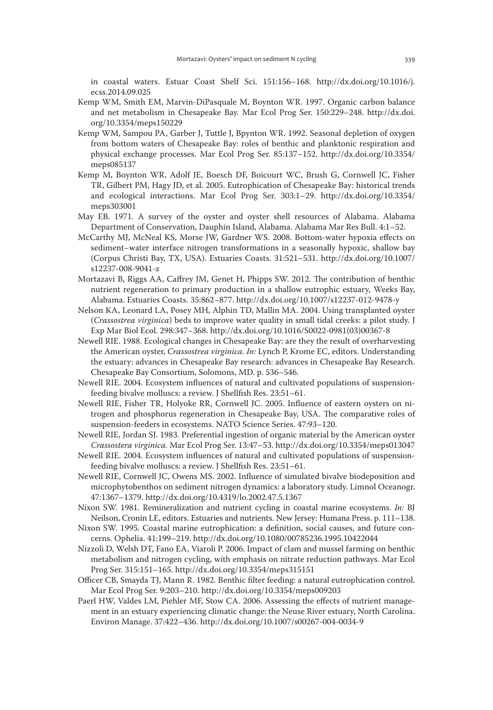in coastal waters. Estuar Coast Shelf Sci. 151:156–168. http://dx.doi.org/10.1016/j. ecss.2014.09.025

- Kemp WM, Smith EM, Marvin-DiPasquale M, Boynton WR. 1997. Organic carbon balance and net metabolism in Chesapeake Bay. Mar Ecol Prog Ser. 150:229–248. http://dx.doi. org/10.3354/meps150229
- Kemp WM, Sampou PA, Garber J, Tuttle J, Bpynton WR. 1992. Seasonal depletion of oxygen from bottom waters of Chesapeake Bay: roles of benthic and planktonic respiration and physical exchange processes. Mar Ecol Prog Ser. 85:137–152. http://dx.doi.org/10.3354/ meps085137
- Kemp M, Boynton WR, Adolf JE, Boesch DF, Boicourt WC, Brush G, Cornwell JC, Fisher TR, Gilbert PM, Hagy JD, et al. 2005. Eutrophication of Chesapeake Bay: historical trends and ecological interactions. Mar Ecol Prog Ser. 303:1–29. http://dx.doi.org/10.3354/ meps303001
- May EB. 1971. A survey of the oyster and oyster shell resources of Alabama. Alabama Department of Conservation, Dauphin Island, Alabama. Alabama Mar Res Bull. 4:1–52.
- McCarthy MJ, McNeal KS, Morse JW, Gardner WS. 2008. Bottom-water hypoxia effects on sediment–water interface nitrogen transformations in a seasonally hypoxic, shallow bay (Corpus Christi Bay, TX, USA). Estuaries Coasts. 31:521–531. http://dx.doi.org/10.1007/ s12237-008-9041-z
- Mortazavi B, Riggs AA, Caffrey JM, Genet H, Phipps SW. 2012. The contribution of benthic nutrient regeneration to primary production in a shallow eutrophic estuary, Weeks Bay, Alabama. Estuaries Coasts. 35:862–877. http://dx.doi.org/10.1007/s12237-012-9478-y
- Nelson KA, Leonard LA, Posey MH, Alphin TD, Mallin MA. 2004. Using transplanted oyster (*Crassostrea virginica*) beds to improve water quality in small tidal creeks: a pilot study. J Exp Mar Biol Ecol. 298:347–368. http://dx.doi.org/10.1016/S0022-0981(03)00367-8
- Newell RIE. 1988. Ecological changes in Chesapeake Bay: are they the result of overharvesting the American oyster, *Crassostrea virginica. In:* Lynch P, Krome EC, editors. Understanding the estuary: advances in Chesapeake Bay research: advances in Chesapeake Bay Research. Chesapeake Bay Consortium, Solomons, MD. p. 536–546.
- Newell RIE. 2004. Ecosystem influences of natural and cultivated populations of suspensionfeeding bivalve molluscs: a review. J Shellfish Res. 23:51–61.
- Newell RIE, Fisher TR, Holyoke RR, Cornwell JC. 2005. Influence of eastern oysters on nitrogen and phosphorus regeneration in Chesapeake Bay, USA. The comparative roles of suspension-feeders in ecosystems. NATO Science Series. 47:93–120.
- Newell RIE, Jordan SJ. 1983. Preferential ingestion of organic material by the American oyster *Crassostera virginica.* Mar Ecol Prog Ser. 13:47–53. http://dx.doi.org/10.3354/meps013047
- Newell RIE. 2004. Ecosystem influences of natural and cultivated populations of suspensionfeeding bivalve molluscs: a review. J Shellfish Res. 23:51–61.
- Newell RIE, Cornwell JC, Owens MS. 2002. Influence of simulated bivalve biodeposition and microphytobenthos on sediment nitrogen dynamics: a laboratory study. Limnol Oceanogr. 47:1367–1379. http://dx.doi.org/10.4319/lo.2002.47.5.1367
- Nixon SW. 1981. Remineralization and nutrient cycling in coastal marine ecosystems. *In:* BJ Neilson, Cronin LE, editors. Estuaries and nutrients. New Jersey: Humana Press. p. 111–138.
- Nixon SW. 1995. Coastal marine eutrophication: a definition, social causes, and future concerns. Ophelia. 41:199–219. http://dx.doi.org/10.1080/00785236.1995.10422044
- Nizzoli D, Welsh DT, Fano EA, Viaroli P. 2006. Impact of clam and mussel farming on benthic metabolism and nitrogen cycling, with emphasis on nitrate reduction pathways. Mar Ecol Prog Ser. 315:151–165. http://dx.doi.org/10.3354/meps315151
- Officer CB, Smayda TJ, Mann R. 1982. Benthic filter feeding: a natural eutrophication control. Mar Ecol Prog Ser. 9:203–210. http://dx.doi.org/10.3354/meps009203
- Paerl HW, Valdes LM, Piehler MF, Stow CA. 2006. Assessing the effects of nutrient management in an estuary experiencing climatic change: the Neuse River estuary, North Carolina. Environ Manage. 37:422–436. http://dx.doi.org/10.1007/s00267-004-0034-9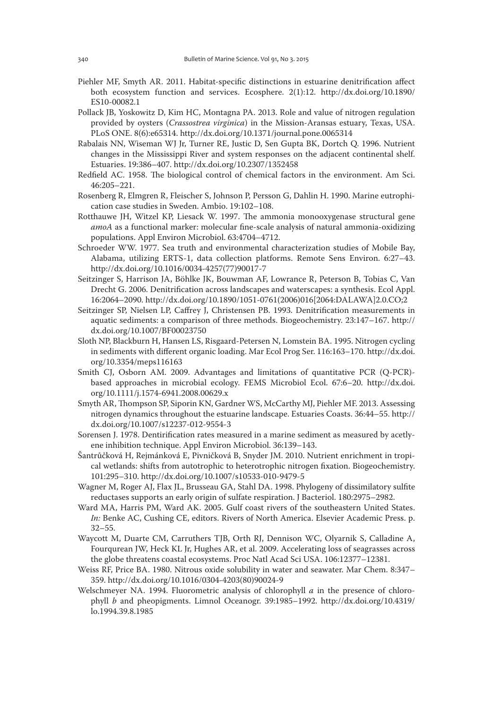- Piehler MF, Smyth AR. 2011. Habitat-specific distinctions in estuarine denitrification affect both ecosystem function and services. Ecosphere. 2(1):12. http://dx.doi.org/10.1890/ ES10-00082.1
- Pollack JB, Yoskowitz D, Kim HC, Montagna PA. 2013. Role and value of nitrogen regulation provided by oysters (*Crassostrea virginica*) in the Mission-Aransas estuary, Texas, USA. PLoS ONE. 8(6):e65314. http://dx.doi.org/10.1371/journal.pone.0065314
- Rabalais NN, Wiseman WJ Jr, Turner RE, Justic D, Sen Gupta BK, Dortch Q. 1996. Nutrient changes in the Mississippi River and system responses on the adjacent continental shelf. Estuaries. 19:386–407. http://dx.doi.org/10.2307/1352458
- Redfield AC. 1958. The biological control of chemical factors in the environment. Am Sci. 46:205–221.
- Rosenberg R, Elmgren R, Fleischer S, Johnson P, Persson G, Dahlin H. 1990. Marine eutrophication case studies in Sweden. Ambio. 19:102–108.
- Rotthauwe JH, Witzel KP, Liesack W. 1997. The ammonia monooxygenase structural gene *amoA* as a functional marker: molecular fine-scale analysis of natural ammonia-oxidizing populations. Appl Environ Microbiol. 63:4704–4712.
- Schroeder WW. 1977. Sea truth and environmental characterization studies of Mobile Bay, Alabama, utilizing ERTS-1, data collection platforms. Remote Sens Environ. 6:27–43. http://dx.doi.org/10.1016/0034-4257(77)90017-7
- Seitzinger S, Harrison JA, Böhlke JK, Bouwman AF, Lowrance R, Peterson B, Tobias C, Van Drecht G. 2006. Denitrification across landscapes and waterscapes: a synthesis. Ecol Appl. 16:2064–2090. http://dx.doi.org/10.1890/1051-0761(2006)016[2064:DALAWA]2.0.CO;2
- Seitzinger SP, Nielsen LP, Caffrey J, Christensen PB. 1993. Denitrification measurements in aquatic sediments: a comparison of three methods. Biogeochemistry. 23:147–167. http:// dx.doi.org/10.1007/BF00023750
- Sloth NP, Blackburn H, Hansen LS, Risgaard-Petersen N, Lomstein BA. 1995. Nitrogen cycling in sediments with different organic loading. Mar Ecol Prog Ser. 116:163–170. http://dx.doi. org/10.3354/meps116163
- Smith CJ, Osborn AM. 2009. Advantages and limitations of quantitative PCR (Q-PCR)based approaches in microbial ecology. FEMS Microbiol Ecol. 67:6–20. http://dx.doi. org/10.1111/j.1574-6941.2008.00629.x
- Smyth AR, Thompson SP, Siporin KN, Gardner WS, McCarthy MJ, Piehler MF. 2013. Assessing nitrogen dynamics throughout the estuarine landscape. Estuaries Coasts. 36:44–55. http:// dx.doi.org/10.1007/s12237-012-9554-3
- Sorensen J. 1978. Dentirification rates measured in a marine sediment as measured by acetlyene inhibition technique. Appl Environ Microbiol. 36:139–143.
- Šantrůčková H, Rejmánková E, Pivničková B, Snyder JM. 2010. Nutrient enrichment in tropical wetlands: shifts from autotrophic to heterotrophic nitrogen fixation. Biogeochemistry. 101:295–310. http://dx.doi.org/10.1007/s10533-010-9479-5
- Wagner M, Roger AJ, Flax JL, Brusseau GA, Stahl DA. 1998. Phylogeny of dissimilatory sulfite reductases supports an early origin of sulfate respiration. J Bacteriol. 180:2975–2982.
- Ward MA, Harris PM, Ward AK. 2005. Gulf coast rivers of the southeastern United States. *In:* Benke AC, Cushing CE, editors. Rivers of North America. Elsevier Academic Press. p. 32–55.
- Waycott M, Duarte CM, Carruthers TJB, Orth RJ, Dennison WC, Olyarnik S, Calladine A, Fourqurean JW, Heck KL Jr, Hughes AR, et al. 2009. Accelerating loss of seagrasses across the globe threatens coastal ecosystems. Proc Natl Acad Sci USA. 106:12377–12381.
- Weiss RF, Price BA. 1980. Nitrous oxide solubility in water and seawater. Mar Chem. 8:347– 359. http://dx.doi.org/10.1016/0304-4203(80)90024-9
- Welschmeyer NA. 1994. Fluorometric analysis of chlorophyll *a* in the presence of chlorophyll *b* and pheopigments. Limnol Oceanogr. 39:1985–1992. http://dx.doi.org/10.4319/ lo.1994.39.8.1985